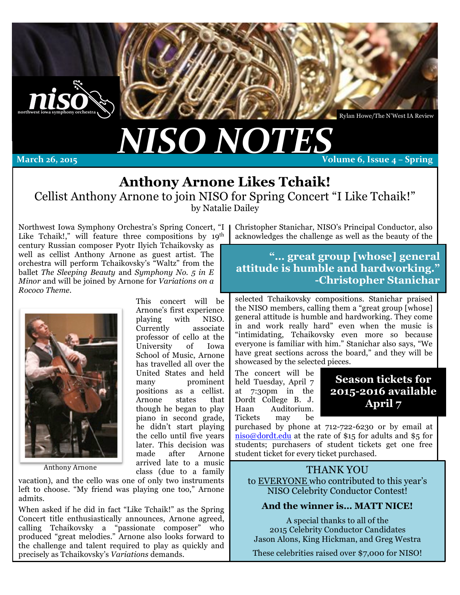

Rylan Howe/The N'West IA Review

# *NISO%NOTES*

March 26, 2015

**Volume 6, Issue 4 – Spring** 

# **Anthony Arnone Likes Tchaik!**

Cellist Anthony Arnone to join NISO for Spring Concert "I Like Tchaik!" by Natalie Dailey

Northwest Iowa Symphony Orchestra's Spring Concert, "I Like Tchaik!," will feature three compositions by 19<sup>th</sup> century Russian composer Pyotr Ilyich Tchaikovsky as well as cellist Anthony Arnone as guest artist. The orchestra will perform Tchaikovsky's "Waltz" from the ballet *The Sleeping Beauty* and *Symphony No. 5 in E Minor* and will be joined by Arnone for *Variations on a Rococo Theme.*



professor of cello at the University of Iowa School of Music, Arnone has travelled all over the United States and held many prominent positions as a cellist. Arnone states that though he began to play piano in second grade, he didn't start playing the cello until five years later. This decision was made after Arnone arrived late to a music Anthony Arnone and a family and a family and a set of a family and a set of  $\alpha$  family and  $\alpha$  THANK YOU

This concert will be Arnone's first experience playing with NISO. Currently associate

vacation), and the cello was one of only two instruments left to choose. "My friend was playing one too," Arnone admits.

When asked if he did in fact "Like Tchaik!" as the Spring Concert title enthusiastically announces, Arnone agreed, calling Tchaikovsky a "passionate composer" who produced "great melodies." Arnone also looks forward to the challenge and talent required to play as quickly and precisely as Tchaikovsky's *Variations* demands.

Christopher Stanichar, NISO's Principal Conductor, also acknowledges the challenge as well as the beauty of the

**"… great group [whose] general attitude is humble and hardworking." -Christopher Stanichar**

selected Tchaikovsky compositions. Stanichar praised the NISO members, calling them a "great group [whose] general attitude is humble and hardworking. They come in and work really hard" even when the music is "intimidating, Tchaikovsky even more so because everyone is familiar with him." Stanichar also says, "We have great sections across the board," and they will be showcased by the selected pieces.

The concert will be held Tuesday, April 7 at 7:30pm in the Dordt College B. J. Haan Auditorium. Tickets may be

### **Season tickets for 2015-2016 available April 7**

purchased by phone at 712-722-6230 or by email at niso@dordt.edu at the rate of \$15 for adults and \$5 for students; purchasers of student tickets get one free student ticket for every ticket purchased.

to EVERYONE who contributed to this year's NISO Celebrity Conductor Contest!

#### **And the winner is… MATT NICE!**

A special thanks to all of the 2015 Celebrity Conductor Candidates Jason Alons, King Hickman, and Greg Westra

These celebrities raised over \$7,000 for NISO!